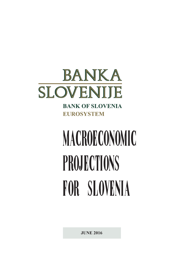

**BANK OF SLOVENIA EUROSYSTEM** 

# MACROECONOMIC PROJECTIONS FOR SLOVENIA

**JUNE 2016**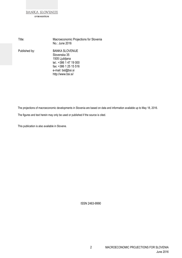| Title:        | Macroeconomic Projections for Slovenia<br>No.: June 2016                                                                                         |
|---------------|--------------------------------------------------------------------------------------------------------------------------------------------------|
| Published by: | BANKA SLOVENIJE<br>Slovenska 35<br>1505 Ljubljana<br>tel.: +386 1 47 19 000<br>fax: +386 1 25 15 516<br>e-mail: bsl@bsi.si<br>http://www.bsi.si/ |

The projections of macroeconomic developments in Slovenia are based on data and information available up to May 18, 2016.

The figures and text herein may only be used or published if the source is cited.

This publication is also available in Slovene.

ISSN 2463-9990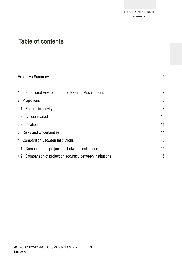# **Table of contents**

| <b>Executive Summary</b>                                      | 5              |
|---------------------------------------------------------------|----------------|
| 1 International Environment and External Assumptions          | $\overline{7}$ |
| 2 Projections                                                 | 8              |
| 2.1 Economic activity                                         | 8              |
| 2.2 Labour market                                             | 10             |
| 2.3 Inflation                                                 | 11             |
| 3 Risks and Uncertainties                                     | 14             |
| 4 Comparison Between Institutions                             | 15             |
| Comparison of projections between institutions<br>4.1         | 15             |
| Comparison of projection accuracy between institutions<br>4.2 | 16             |

3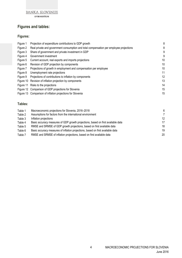

**EVROSISTEM** 

# **Figures and tables:**

## **Figures:**

| Figure 1  | Projection of expenditure contributions to GDP growth                                   | 8  |
|-----------|-----------------------------------------------------------------------------------------|----|
| Figure 2  | Real private and government consumption and total compensation per employee projections | 8  |
| Figure 3  | Share of government and private investment in GDP                                       | 9  |
| Figure 4  | Government investment                                                                   | 9  |
| Figure 5  | Current account, real exports and imports projections                                   | 10 |
| Figure 6  | Revision of GDP projection by components                                                | 10 |
| Figure 7  | Projections of growth in employment and compensation per employee                       | 10 |
| Figure 8  | Unemployment rate projections                                                           | 11 |
| Figure 9  | Projections of contributions to inflation by components                                 | 12 |
| Figure 10 | Revision of inflation projection by components                                          | 13 |
| Figure 11 | Risks to the projections                                                                | 14 |
|           | Figure 12 Comparison of GDP projections for Slovenia                                    | 15 |
|           | Figure 13 Comparison of inflation projections for Slovenia                              | 15 |

#### **Tables:**

| Table 1 | Macroeconomic projections for Slovenia, 2016–2018                                | 6                 |
|---------|----------------------------------------------------------------------------------|-------------------|
| Table 2 | Assumptions for factors from the international environment                       | 7                 |
| Table 3 | Inflation projections                                                            | $12 \overline{ }$ |
| Table 4 | Basic accuracy measures of GDP growth projections, based on first available data | 17                |
| Table 5 | RMSE and SRMSE of GDP growth projections, based on first available data          | 18                |
| Table 6 | Basic accuracy measures of inflation projections, based on first available data  | 19                |
| Table 7 | RMSE and SRMSE of inflation projections, based on first available data           | 20                |

4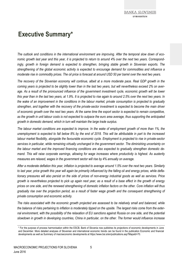# **Executive Summary\***

*The outlook and conditions in the international environment are improving. After the temporal slow down of economic growth last year and this year, it is projected to return to around 4% over the next two years. Correspondingly, growth in foreign demand is expected to strengthen, bringing stable growth in Slovenian exports. The strengthening of the global economic activity is expected to encourage demand for commodities and influence a moderate rise in commodity prices. The oil price is forecast at around USD 50 per barrel over the next two years.* 

*The recovery of the Slovenian economy will continue, albeit at a more moderate pace. Real GDP growth in the coming years is projected to be slightly lower than in the last two years, but will nevertheless exceed 2% on aver*age. As a result of the pronounced influence of the government investment cycle, economic growth will be lower *this year than in the last two years, at 1.9%. It is projected to rise again to around 2.5% over the next two years. In the wake of an improvement in the conditions in the labour market, private consumption is projected to gradually strengthen, and together with the recovery of the private-sector investment is expected to become the main driver of economic growth over the next two years. At the same time the export sector is expected to remain competitive, as the growth in unit labour costs is not expected to outpace the euro area average, thus supporting the anticipated growth in domestic demand, which in turn will maintain the large trade surplus.* 

*The labour market conditions are expected to improve. In the wake of employment growth of more than 1%, the unemployment is expected to fall below 8% by the end of 2018. This will be attributable in part to the increased labour market flexibility, alongside the favourable economic cycle. Employment is projected to rise in private-sector services in particular, while remaining virtually unchanged in the government sector. The diminishing uncertainty on the labour market and the improved financing conditions are also expected to gradually strengthen domestic demand. This will raise corporate earnings, allowing for wage increases where productivity is highest. As austerity measures are relaxed, wages in the government sector will rise by 4% annually on average.* 

*After a moderate deflation this year, inflation is projected to average around 1.5% over the next two years. Similarly to last year, price growth this year will again be primarily influenced by the falling oil and energy prices, while deflationary pressures will also persist on the side of prices of non-energy industrial goods as well as services. Price growth is nevertheless projected to pick up again next year, as a result of a base effect in the growth of energy prices on one side, and the renewed strengthening of domestic inflation factors on the other. Core inflation will thus gradually rise over the projection period, as a result of faster wage growth and the consequent strengthening of private consumption and economic activity.* 

*The risks associated with the economic growth projected are assessed to be relatively small and balanced, while the balance of risks pertaining to inflation is moderately tipped on the upside. The largest risks come from the external environment, with the possibility of the relaxation of EU sanctions against Russia on one side, and the potential slowdown in growth in developing countries, China in particular, on the other. The former would influence increase* 

<sup>\*</sup> For the purpose of process harmonisation within the ESCB, Bank of Slovenia now publishes its projections of economic developments in June and December. More detailed analyses of Slovenian and international economic trends can be found in the publication Economic and financial developments as well as Summary of macroeconomic developments at https://www.bsi.si/en/publications.asp?MapaId=70.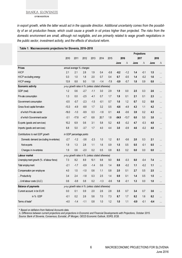**EVROSISTEM** 

*in export growth, while the latter would act in the opposite direction. Additional uncertainty comes from the possibility of an oil production freeze, which could cause a growth in oil prices higher than projected. The risks from the domestic environment are small, although not negligible, and are primarily related to wage growth negotiations in the public sector, investment activity, and the effects of structural reform.* 

|                                         |         |                          |                                                   |        |        |        |         | Projections |        |        |        |           |
|-----------------------------------------|---------|--------------------------|---------------------------------------------------|--------|--------|--------|---------|-------------|--------|--------|--------|-----------|
|                                         | 2010    | 2011                     | 2012                                              | 2013   | 2014   | 2015   | 2016    |             | 2017   |        | 2018   |           |
|                                         |         |                          |                                                   |        |        |        | June    | Δ           | June   | Δ      | June   | Δ         |
| <b>Prices</b>                           |         |                          | annual average % changes                          |        |        |        |         |             |        |        |        |           |
| <b>HICP</b>                             | 2.1     | 2.1                      | 2.8                                               | 1.9    | 0.4    | $-0.8$ | $-0.2$  | $-1.2$      | 1.4    | $-0.1$ | 1.5    | $\cdots$  |
| HICP excluding energy                   | 0.3     | 1.0                      | 1.8                                               | 2.0    | 0.7    | 0.4    | 0.7     | $-0.5$      | 1.4    | $-0.2$ | 1.6    | $\cdots$  |
| HICP energy                             | 13.9    | 8.8                      | 9.0                                               | 1.8    | $-1.4$ | $-7.8$ | $-5.9$  | $-5.7$      | 1.8    | 0.9    | 0.8    | $\cdots$  |
| Economic activity                       |         |                          | y-o-y growth rates in % (unless stated otherwise) |        |        |        |         |             |        |        |        |           |
| GDP (real)                              | 1.2     | 0.6                      | $-2.7$                                            | $-1.1$ | 3.0    | 2.9    | 1.9     | 0.0         | 2.5    | 0.3    | 2.6    | .         |
| Private consumption                     | 1.3     | 0.0                      | $-2.5$                                            | $-4.1$ | 0.7    | 1.7    | 1.9     | 0.1         | 2.1    | 0.1    | 2.3    | $\ddotsc$ |
| Government consumption                  | $-0.5$  | $-0.7$                   | $-2.3$                                            | $-1.5$ | $-0.1$ | 0.7    | 1.6     | 1.2         | 0.7    | 0.2    | 0.8    | .         |
| Gross fixed capital formation           | $-13.3$ | $-4.9$                   | $-8.8$                                            | 1.7    | 3.2    | 0.5    | $-6.6$  | $-4.9$      | 4.3    | 1.1    | 4.2    | .         |
| of which Private sector                 | $-16.0$ | $-1.0$                   | $-9.9$                                            | 0.3    | $-1.8$ | 0.1    | 4.6     | $-0.6$      | 3.9    | 0.2    | 4.3    | $\ddotsc$ |
| of which Government sector              | $-3.1$  | $-17.8$                  | $-4.7$                                            | 6.8    | 20.7   | 1.8    | $-34.9$ | $-13.7$     | 6.0    | 5.0    | 3.8    | $\cdots$  |
| Exports (goods and services)            | 10.2    | 6.9                      | 0.6                                               | 3.1    | 5.8    | 5.2    | 4.5     | $-0.2$      | 4.7    | $-0.3$ | 4.8    | $\ddotsc$ |
| Imports (goods and services)            | 6.8     | 5.0                      | $-3.7$                                            | 1.7    | 4.0    | 4.4    | 3.0     | $-0.9$      | 4.6    | $-0.2$ | 4.8    | .         |
| Contributions to real GDP growth        |         | in GDP percentage points |                                                   |        |        |        |         |             |        |        |        |           |
| Domestic demand (excluding inventories) | $-2.7$  | $-1.2$                   | $-3.6$                                            | $-2.3$ | 1.0    | 1.2    | 0.1     | $-0.6$      | 2.0    | 0.3    | 2.1    |           |
| Net exports                             | 1.9     | 1.3                      | 2.8                                               | 1.1    | 1.6    | 0.9    | 1.5     | 0.5         | 0.5    | $-0.1$ | 0.5    | $\cdots$  |
| Changes in inventories                  | 1.9     | 0.6                      | $-2.0$                                            | 0.2    | 0.5    | 0.8    | 0.3     | 0.2         | 0.0    | 0.0    | 0.0    | .         |
| Labour market                           |         |                          | y-o-y growth rates in % (unless stated otherwise) |        |        |        |         |             |        |        |        |           |
| Unemployment growth (% of labour force) | 7.3     | 8.2                      | 8.9                                               | 10.1   | 9.8    | 9.0    | 8.6     | $-0.3$      | 8.0    | $-0.4$ | 7.4    |           |
| Total employ ment                       | $-2.1$  | $-1.7$                   | $-0.9$                                            | $-1.4$ | 0.6    | 1.4    | 0.9     | $-0.2$      | 1.1    | $-0.2$ | 1.1    | $\ddotsc$ |
| Compensation per employee               | 4.0     | 1.5                      | $-1.0$                                            | 0.6    | 1.1    | 0.8    | 2.0     | 0.1         | 2.7    | 0.5    | 2.5    | .         |
| Productivity                            | 3.4     | 2.4                      | $-1.8$                                            | 0.3    | 2.5    | 1.4    | 0.9     | 0.1         | 1.4    | 0.5    | 1.5    | .         |
| Unit labour costs (ULC)                 | 0.6     | $-0.8$                   | 0.8                                               | 0.2    | $-1.3$ | $-0.6$ | 1.0     | $-0.1$      | 1.3    | 0.0    | 1.0    | $\cdots$  |
| <b>Balance of payments</b>              |         |                          | y-o-y growth rates in % (unless stated otherwise) |        |        |        |         |             |        |        |        |           |
| Current account: in bn EUR              | 0.0     | 0.1                      | 0.9                                               | 2.0    | 2.6    | 2.8    | 3.5     | 0.7         | 3.4    | 0.7    | 3.6    | $\cdots$  |
| in % GDP                                | $-0.1$  | 0.2                      | 2.6                                               | 5.6    | 7.0    | 7.3    | 8.7     | 1.7         | 8.2    | 1.6    | 8.2    | $\ddotsc$ |
| Terms of trade*                         | $-4.0$  | $-1.4$                   | $-1.1$                                            | 0.8    | 1.0    | 1.2    | 1.0     | 1.1         | $-0.9$ | $-0.1$ | $-0.4$ |           |

#### **Table 1: Macroeconomic projections for Slovenia, 2016–2018**

\* *Based on deflators from National Accounts data.* 

Δ*: Difference between current projections and projections in Economic and Financial Developments with Projections, October 2015. Source: Bank of Slovenia, Consensus, Eurostat, JP Morgan, OECD Economic Outlook, SORS, ECB.*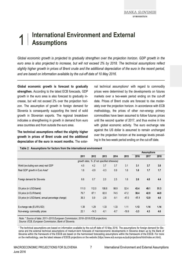# 1 **International Environment and External Assumptions**

*Global economic growth is projected to gradually strengthen over the projection horizon. GDP growth in the euro area is also projected to increase, but will not exceed 2% by 2018. The technical assumptions reflect slightly higher growth in prices of Brent crude and the additional depreciation of the euro in the recent period, and are based on information available by the cut-off date of 10 May 2016.* 

**Global economic growth is forecast to gradually strengthen.** According to the latest ECB forecasts, GDP growth in the euro area is also forecast to gradually increase, but will not exceed 2% over the projection horizon. The assumption of growth in foreign demand for Slovenia is consequently supporting the trend of solid growth in Slovenian exports. The regional breakdown indicates a strengthening in growth in demand from euro area countries and from outside the euro area.

**The technical assumptions reflect the slightly higher growth in prices of Brent crude and the additional depreciation of the euro in recent months.** The external technical assumptions<sup>1</sup> with regard to commodity prices were determined by the developments on futures markets over a two-week period ending on the cut-off date. Prices of Brent crude are forecast to rise moderately over the projection horizon. In accordance with ECB methodology, the prices of other non-energy primary commodities have been assumed to follow futures prices until the second quarter of 2017, and thus evolve in line with global economic activity. The euro exchange rate against the US dollar is assumed to remain unchanged over the projection horizon at the average levels prevailing in the two-week period ending on the cut-off date.

|                                                     |                                              |         |        |        |         |         | <b>Assumptions</b> |      |  |  |  |  |
|-----------------------------------------------------|----------------------------------------------|---------|--------|--------|---------|---------|--------------------|------|--|--|--|--|
|                                                     | 2011                                         | 2012    | 2013   | 2014   | 2015    | 2016    | 2017               | 2018 |  |  |  |  |
|                                                     | growth rates, % (if not specified otherwise) |         |        |        |         |         |                    |      |  |  |  |  |
| World (excluding euro area) real GDP                | 4.5                                          | 4.2     | 3.7    | 3.7    | 3.1     | 3.1     | 3.7                | 3.8  |  |  |  |  |
| Real GDP growth in Euro Area*                       | 1.6                                          | $-0.9$  | $-0.3$ | 0.9    | 1.6     | 1.6     | 1.7                | 1.7  |  |  |  |  |
| Foreign demand for Slovenia                         | 6.6                                          | 0.7     | 2.0    | 2.5    | 1.6     | 2.6     | 4.0                | 4.4  |  |  |  |  |
| Oil price (in USD/barrel)                           | 111.0                                        | 112.0   | 108.8  | 98.9   | 52.4    | 43.4    | 49.1               | 51.3 |  |  |  |  |
| Oil price (in EUR/barrel)                           | 79.7                                         | 87.1    | 82.0   | 74.5   | 47.2    | 38.4    | 42.9               | 44.9 |  |  |  |  |
| Oil price (in USD/barrel, annual percentage change) | 39.3                                         | 0.9     | $-2.8$ | $-9.1$ | $-47.0$ | $-17.1$ | 12.9               | 4.6  |  |  |  |  |
| Exchange rate (EUR/USD)                             | 1.39                                         | 1.29    | 1.33   | 1.33   | 1.11    | 1.13    | 1.14               | 1.14 |  |  |  |  |
| Non-energy commodity prices                         | 22.1                                         | $-14.3$ | $-6.1$ | $-8.7$ | $-19.9$ | $-3.3$  | 4.3                | 4.6  |  |  |  |  |

**Table 2: Assumptions for factors from the international environment** 

*Note: \* Source of data: 2011–2015 European Commission; 2016–2018 ECB projections.* 

*Source: ECB, European Commission, Bank of Slovenia.*

1 The technical assumptions are based on information available by the cut-off date of 10 May 2016. The assumptions for foreign demand for Slovenia and the external technical assumptions of medium-term forecasts of macroeconomic developments in Slovenia drawn up by the Bank of Slovenia within the framework of the ESCB are based on the harmonised forecasting assumptions within the framework of the ESCB. For more on the methodology, see the latest release of ESCB projections on the website (https://www.ecb.europa.eu/pub/projections/html/index.en.html).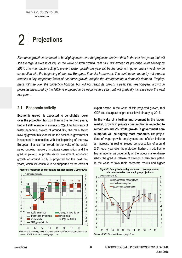# 2 **Projections**

*Economic growth is expected to be slightly lower over the projection horizon than in the last two years, but will still average in excess of 2%. In the wake of such growth, real GDP will exceed its pre-crisis level already by 2017. The main factor acting to prevent faster growth this year will be the decline in government investment in connection with the beginning of the new European financial framework. The contribution made by net exports remains a key supporting factor of economic growth, despite the strengthening in domestic demand. Employment will rise over the projection horizon, but will not reach its pre-crisis peak yet. Year-on-year growth in prices as measured by the HICP is projected to be negative this year, but will gradually increase over the next two years.* 

#### **2.1 Economic activity**

**Economic growth is expected to be slightly lower over the projection horizon than in the last two years, but will still average in excess of 2%.** After two years of faster economic growth of around 3%, the main factor slowing growth this year will be the decline in government investment in connection with the beginning of the new European financial framework. In the wake of the anticipated ongoing recovery in private consumption and the gradual pick-up in private-sector investment, economic growth of around 2.5% is projected for the next two years, which will continue to be supported by the efficient



*Note: Due to rounding, sums of components may differ from aggregate values. Source: SORS, Bank of Slovenia projections.*

export sector. In the wake of this projected growth, real GDP could surpass its pre-crisis level already by 2017.

**In the wake of a further improvement in the labour market, growth in private consumption is expected to remain around 2%, while growth in government consumption will be slightly more moderate.** The projections of wage growth, employment and inflation indicate an increase in real employee compensation of around 2.5% each year over the projection horizon. In addition to higher income, as uncertainty on the labour market diminishes, the gradual release of savings is also anticipated. In the wake of favourable corporate results and higher

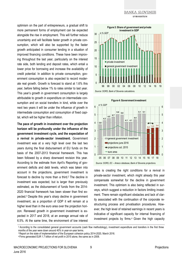optimism on the part of entrepreneurs, a gradual shift to more permanent forms of employment can be expected alongside the rise in employment. This will further reduce uncertainty and will facilitate faster growth in private consumption, which will also be supported by the faster growth anticipated in consumer lending in a situation of improved financing conditions. These have been improving throughout the last year, particularly on the interest rate side, both lending and deposit rates, which entail a lower price for borrowing and increase the availability of credit potential. In addition to private consumption, government consumption is also expected to record moderate real growth. Growth is forecast to stand at 1.6% this year, before falling below 1% to rates similar to last year. This year's growth in government consumption is largely attributable to growth in expenditure on intermediate consumption and on social transfers in kind, while over the next two years it will be under the influence of growth in intermediate consumption and consumption of fixed capital, which will be higher than inflation.

**The pace of growth in investment over the projection horizon will be profoundly under the influence of the government investment cycle, and the expectation of a revival in private-sector investment.** Government investment was at a very high level over the last two years during the final disbursement of EU funds on the basis of the 2007-2013 financial framework. This has been followed by a sharp downward revision this year. According to the estimate from April's Reporting of government deficits and debt levels, which was taken into account in the projections, government investment is forecast to decline by more than a third.2 The decline in investment was expected, but is larger than previously estimated, as the disbursement of funds from the 2014- 2020 financial framework has been slower than first expected.3 Despite this year's sharp decline in government investment, as a proportion of GDP it will remain at a higher level than in the euro area over the projection horizon. Renewed growth in government investment is expected in 2017 and 2018, at an average annual rate of 6.5%. At the same time, the environment of low interest





*Source: SORS, EC – Ameco database, Bank of Slovenia projections.*

rates is creating the right conditions for a revival in private-sector investment, which might already this year compensate somewhat for the decline in government investment. This optimism is also being reflected in surveys, which suggest a reduction in factors limiting investment. There remain significant obstacles and lack of clarity associated with the continuation of the corporate restructuring process and privatisation procedures. However, the high level of retained earnings in recent years is indicative of significant capacity for internal financing of investment projects by firms.4 Given the high capacity

<sup>2</sup> According to the consolidated general government accounts (cash flow methodology), investment expenditure and transfers in the first three months of the year were down around 40% in year-on-year terms.

<sup>3</sup> Report on the state of implementation of the European cohesion policy 2014-2020, March 2016.

<sup>4</sup> Firms generated EUR 1.7 billion of net profit in 2015 alone, the same as in 2008.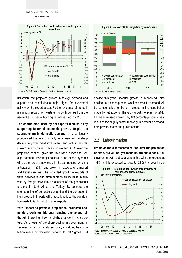

utilisation, the projected growth in foreign demand and exports also constitutes a major signal for investment activity by the export sector. Further evidence of the optimism with regard to investment growth comes from the rise in the number of building permits issued in 2015.

**The contribution made by net exports remains a key supporting factor of economic growth, despite the strengthening in domestic demand.** It is particularly pronounced this year, primarily as a result of the sharp decline in government investment, and with it imports. Growth in exports is forecast to exceed 4.5% over the projection horizon, given the favourable outlook for foreign demand. Two major factors in the export dynamic will be the rise of a new cycle in the car industry, which is anticipated in 2017, and growth in exports of transport and travel services. The projected growth in exports of travel services is also attributable to an increase in arrivals by foreign travellers on account of the geopolitical tensions in North Africa and Turkey. By contrast, the strengthening of domestic demand and the corresponding increase in imports will gradually reduce the contribution made to GDP growth by net exports.

**With respect to previous projections, projected economic growth for this year remains unchanged, although there has been a slight change in its structure.** As a result of the sharp decline in government investment, which is merely temporary in nature, the contribution made by domestic demand to GDP growth will

**Figure 6: Revision of GDP projection by components**



decline this year. Because growth in imports will also decline as a consequence, weaker domestic demand will be compensated for by an increase in the contribution made by net exports. The GDP growth forecast for 2017 has been revised upwards by 0.3 percentage points, as a result of the slightly faster recovery in domestic demand, both private-sector and public-sector.

#### **2.2 Labour market**

**Employment is forecasted to rise over the projection horizon, but will not yet reach its pre-crisis peak.** Employment growth last year was in line with the forecast at 1.4%, and is expected to slow to 0.9% this year in the

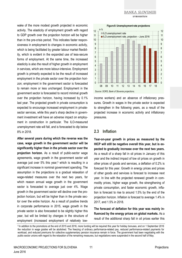wake of the more modest growth projected in economic activity. The elasticity of employment growth with regard to GDP growth over the projection horizon will be higher than in the pre-crisis period. This indicates faster responsiveness in employment to changes in economic activity, which is being facilitated by greater labour market flexibility, which is evident in the expanded use of less-secure forms of employment. At the same time, the increased elasticity is also the result of higher growth in employment in services, which are more labour-intensive. Employment growth is primarily expected to be the result of increased employment in the private sector over the projection horizon; employment in the government sector is forecasted to remain more or less unchanged. Employment in the government sector is forecasted to record minimal growth over the projection horizon, having increased by 0.1% last year. The projected growth in private consumption is expected to encourage increased employment in privatesector services, while this year's sharp decline in government investment will have an adverse impact on employment in construction in particular. The ILO-measured unemployment rate will fall, and is forecasted to dip below 8% in 2018.

**After several years during which the reverse was the case, wage growth in the government sector will be significantly higher than in the private sector over the projection horizon.** As a result of public-sector wage agreements, wage growth in the government sector will average just over 5% this year,<sup>5</sup> which is resulting in a significant increase in nominal government spending. The assumption in the projections is a gradual relaxation of wage-related measures over the next two years, for which reason annual wage growth in the government sector is forecasted to average just over 4%. Wage growth in the government sector will decline over the projection horizon, but will be higher than in the private sector over the entire horizon. As a result of positive trends in corporate performance in 2015, wage growth in the private sector is also forecasted to be slightly higher this year, but will be limited by changes in the structure of employment (increased employment of relatively low-

#### **Figure 8: Unemployment rate projections**



income workers) and an absence of inflationary pressures. Growth in wages in the private sector is expected to strengthen in the following years, as a result of the projected increase in economic activity and inflationary pressures.

#### **2.3 Inflation**

**Year-on-year growth in prices as measured by the HICP will still be negative overall this year, but is expected to gradually increase over the next two years.**  As a result of a sharp fall in oil prices in January of this year and the indirect impact of low oil prices on growth in other prices of goods and services, a deflation of 0.2% is forecast for this year. Growth in energy prices and prices of other goods and services is forecast to increase next year. In line with the projected renewed growth in commodity prices, higher wage growth, the strengthening of private consumption, and faster economic growth, inflation is forecast to rise to around 1.5% by the end of the projection horizon. Inflation is forecast to average 1.4% in 2017, and 1.5% in 2018.

**The forecast of deflation for this year was mainly influenced by the energy prices on global markets.** As a result of the additional sharp fall in oil prices earlier this

<sup>5</sup> In addition to the promotions at the end of 2015 and 2016, more funding will be required this year for holiday bonuses, and on 1 September 2016 the reduction in wage grades will be abolished. The freezing of ordinary performance-related pay, reduced performance-related payments for workload, and reduced premiums for collective supplementary pension insurance remain in force. The government had been negotiating with the public-sector unions with regard to the relaxation of the remaining measures, but negotiations were suspended in the second half of May.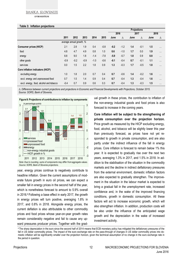**EVROSISTEM** 

#### **Table 3: Inflation projections**

| <b>TANIC 0. INITIATION PROTECTION</b>   |        |                          |        |        |        |                    |        |      |        |      |          |  |  |  |
|-----------------------------------------|--------|--------------------------|--------|--------|--------|--------------------|--------|------|--------|------|----------|--|--|--|
|                                         |        |                          |        |        |        | <b>Projections</b> |        |      |        |      |          |  |  |  |
|                                         |        |                          |        |        |        | 2016               |        | 2017 |        | 2018 |          |  |  |  |
|                                         | 2011   | 2012                     | 2013   | 2014   | 2015   | June               | Δ      | June | Λ      | June | Δ        |  |  |  |
|                                         |        | average annual growth, % |        |        |        |                    |        |      |        |      |          |  |  |  |
| <b>Consumer prices (HICP)</b>           | 2.1    | 2.8                      | 1.9    | 0.4    | $-0.8$ | $-0.2$             | $-1.2$ | 1.4  | $-0.1$ | 1.5  | $\cdots$ |  |  |  |
| food                                    | 4.8    | 4.7                      | 4.9    | 0.8    | 1.0    | 0.6                | $-1.0$ | 1.7  | 0.0    | 1.9  | $\cdots$ |  |  |  |
| energy                                  | 8.8    | 9.0                      | 1.8    | $-1.4$ | $-7.8$ | $-5.9$             | $-5.7$ | 1.8  | 0.9    | 0.8  | $\cdots$ |  |  |  |
| other goods                             | $-0.9$ | $-0.2$                   | $-0.9$ | $-1.0$ | $-0.6$ | $-0.1$             | $-0.4$ | 0.7  | $-0.1$ | 1.1  | $\cdots$ |  |  |  |
| services                                | 0.0    | 1.5                      | 2.2    | 1.8    | 0.9    | 1.3                | $-0.3$ | 1.7  | $-0.5$ | 1.8  | $\cdots$ |  |  |  |
| Core inflation indicators (HICP)        |        |                          |        |        |        |                    |        |      |        |      |          |  |  |  |
| ex cluding energy                       | 1.0    | 1.8                      | 2.0    | 0.7    | 0.4    | 0.7                | $-0.6$ | 1.4  | $-0.2$ | 1.6  | $\cdots$ |  |  |  |
| excl. energy and unprocessed food       | 0.7    | 1.5                      | 1.4    | 0.9    | 0.4    | 0.7                | $-0.4$ | 1.3  | $-0.4$ | 1.6  | $\cdots$ |  |  |  |
| excl. energy, food, alcohol and tobacco | $-0.4$ | 0.7                      | 0.9    | 0.6    | 0.3    | 0.7                | $-0.4$ | 1.3  | $-0.3$ | 1.5  | $\cdots$ |  |  |  |

Δ*: Difference between current projections and projections in Economic and Financial Developments with Projections, October 2015. Source: SORS, Bank of Slovenia.*



*Source: SORS, Bank of Slovenia projections.*

year, energy prices continue to negatively contribute to headline inflation. Given the current assumptions of moderate future growth in euro oil prices, we can expect a smaller fall in energy prices in the second half of the year, which is nonetheless forecast to amount to 5.9% overall in 2016.6 Following a base effect in early 2017, the growth in energy prices will turn positive, averaging 1.8% in 2017, and 0.8% in 2018. Alongside energy prices, the current deflation is also attributable to other commodity prices and food prices whose year-on-year growth rates remain considerably negative and fail to cause any upward pressures producer prices. Together with the gradual growth in these prices, the contribution to inflation of the non-energy industrial goods and food prices is also forecast to increase in the coming years.

**Core inflation will be subject to the strengthening of private consumption over the projection horizon.**  Price growth as measured by the HICP excluding energy, food, alcohol, and tobacco will be slightly lower this year than previously forecast, as prices have not yet responded to growth in private consumption, and are also partly under the indirect influence of the fall in energy prices. Core inflation is forecast to remain below 1% this year. It is expected to gradually rise over the next two years, averaging 1.3% in 2017, and 1.5% in 2018. In addition to the stabilisation of the situation in the commodity markets and the decline in indirect deflationary pressures from the external environment, domestic inflation factors are also expected to gradually strengthen. The improvement in the situation in the labour market is expected to bring a gradual fall in the unemployment rate, increased confidence and, in the wake of the improved financing conditions, growth in domestic consumption. All these factors will act to increase economic growth, which will also strengthen inflation. In addition, production costs will be also under the influence of the anticipated wage growth and the depreciation in the wake of increased investment activity.

<sup>&</sup>lt;sup>6</sup> The sharp depreciation in the euro since the second half of 2014 means that ECB monetary policy has mitigated the deflationary pressures of the fall in US dollar commodity prices. The impact of the euro exchange rate on the pass-through of changes in US dollar commodity prices into domestic inflation will be significantly smaller over the projection horizon, given the technical assumption of no change in the euro exchange rate in the period in question.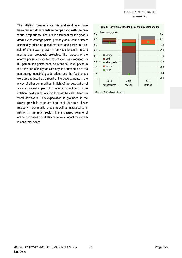**The inflation forecasts for this and next year have been revised downwards in comparison with the previous projections.** The inflation forecast for this year is down 1.2 percentage points, primarily as a result of lower commodity prices on global markets, and partly as a result of the slower growth in services prices in recent months than previously projected. The forecast of the energy prices contribution to inflation was reduced by 0.8 percentage points because of the fall in oil prices in the early part of this year. Similarly, the contribution of the non-energy industrial goods prices and the food prices were also reduced as a result of the developments in the prices of other commodities. In light of the expectation of a more gradual impact of private consumption on core inflation, next year's inflation forecast has also been revised downward. This expectation is grounded in the slower growth in corporate input costs due to a slower recovery in commodity prices as well as increased competition in the retail sector. The increased volume of online purchases could also negatively impact the growth in consumer prices.

**Figure 10: Revision of inflation projection by components**



*Source: SORS, Bank of Slovenia.*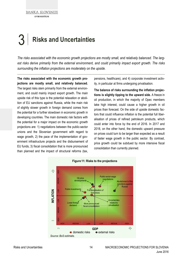# 3 **Risks and Uncertainties**

*The risks associated with the economic growth projections are mostly small, and relatively balanced. The largest risks derive primarily from the external environment, and could primarily impact export growth. The risks surrounding the inflation projections are moderately on the upside.* 

**The risks associated with the economic growth projections are mostly small, and relatively balanced.**  The largest risks stem primarily from the external environment, and could mainly impact export growth. The main upside risk of this type is the potential relaxation or abolition of EU sanctions against Russia, while the main risk of slightly slower growth in foreign demand comes from the potential for a further slowdown in economic growth in developing countries. The main domestic risk factors with the potential for a major impact on the economic growth projections are: 1) negotiations between the public-sector unions and the Slovenian government with regard to wage growth, 2) the pace of the implementation of government infrastructure projects and the disbursement of EU funds, 3) fiscal consolidation that is more pronounced than planned and the impact of structural reforms (tax,

pensions, healthcare), and 4) corporate investment activity, in particular at firms undergoing privatisation.

**The balance of risks surrounding the inflation projections is slightly tipping to the upward side.** A freeze in oil production, in which the majority of Opec members take high interest, could cause a higher growth in oil prices than forecast. On the side of upside domestic factors that could influence inflation is the potential full liberalisation of prices of refined petroleum products, which could enter into force by the end of 2016. In 2017 and 2018, on the other hand, the domestic upward pressure on prices could turn to be larger than expected as a result of faster wage growth in the public sector. By contrast, price growth could be subdued by more intensive fiscal consolidation than currently planned.

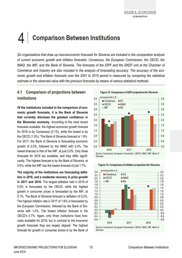# 4 **Comparison Between Institutions**

*Six organisations that draw up macroeconomic forecasts for Slovenia are included in the comparative analysis of current economic growth and inflation forecasts: Consensus, the European Commission, the OECD, the IMAD, the IMF, and the Bank of Slovenia. The forecasts of the EIPF and the SKEP unit at the Chamber of Commerce and Industry are also included in the analysis of forecasting accuracy. The accuracy of the economic growth and inflation forecasts over the 2001 to 2015 period is measured by comparing the statistical estimate or the observed value with the previous forecasts by means of various statistical methods.* 

## **4.1 Comparison of projections between institutions**

**Of the institutions included in the comparison of economic growth forecasts, it is the Bank of Slovenia that currently discloses the greatest confidence in the Slovenian economy.** According to the most recent forecasts available, the highest economic growth forecast for 2016 is by Consensus (2.1%), while the lowest is by the OECD (1.5%). The Bank of Slovenia forecast is 1.9%. For 2017, the Bank of Slovenia is forecasting economic growth of 2.5%, followed by the IMAD with 2.4%. The lowest forecast is that of the IMF, at just 2.0%. Only three forecasts for 2018 are available, and they differ significantly. The highest forecast is by the Bank of Slovenia, at 2.6%, while the IMF has the lowest forecast of just 1.7%.

**The majority of the institutions are forecasting deflation in 2016, and a moderate recovery in price growth in 2017 and 2018.** The largest deflation rate in 2016 of 0.5% is forecasted by the OECD, while the highest growth in consumer prices is forecasted by the IMF, at 0.1%. The Bank of Slovenia forecast is deflation of 0.2%. The highest inflation rate in 2017 of 1.6% is forecasted by the European Commission, followed by the Bank of Slovenia with 1.4%. The lowest inflation forecast is the OECD's 0.7%. Again, only three institutions have forecasts available for 2018, but in contrast to the economic growth forecasts they are largely aligned. The highest forecast for growth in consumer prices is by the Bank of





**Figure 13: Comparison of inflation projections for Slovenia**

2016 2017 2018

*Source: Consensus, European Commission, OECD, IMAD, IMF, Bank of Slovenia.*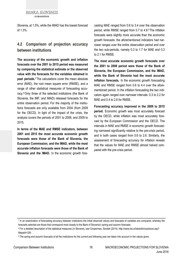Slovenia, at 1.5%, while the IMAD has the lowest forecast of 1.3%.

### **4.2 Comparison of projection accuracy between institutions**

**The accuracy of the economic growth and inflation forecasts over the 2001 to 2015 period was measured by comparing the statistical estimate or the observed value with the forecasts for the variables obtained in past periods.7** The calculations cover the mean absolute error (MAE), the root mean square error (RMSE), and a range of other statistical measures of forecasting accuracy.8 Only three of the selected institutions (the Bank of Slovenia, the IMF, and IMAD) released forecasts for the entire observation period. For the majority of the institutions forecasts are only available from 2004 (from 2009 for the OECD). In light of the impact of the crisis, the analysis covers the periods of 2001 to 2008, and 2009 to 2015.

**In terms of the MAE and RMSE indicators, between 2001 and 2015 the most accurate economic growth forecasts were those of the Bank of Slovenia, the European Commission, and the IMAD, while the most accurate inflation forecasts were those of the Bank of Slovenia and the IMAD.** In the economic growth forecasting MAE ranged from 0.6 to 3.4 over the observation period, while RMSE ranged from 0.7 to 4.9.9 The inflation forecasts were slightly more accurate than the economic growth forecasts: the aforementioned indicators had narrower ranges over the entire observation period and over the two sub-periods, namely 0.3 to 1.7 for MAE and 0.3 to 2.1 for RMSE.

**The most accurate economic growth forecasts over the 2001 to 2008 period were those of the Bank of Slovenia, the European Commission, and the IMAD, while the Bank of Slovenia had the most accurate inflation forecasts.** In the economic growth forecasting MAE and RMSE ranged from 0.6 to 4.4 over the aforementioned period. In the inflation forecasting the two indicators again ranged over narrower intervals: 0.3 to 2.2 for MAE and 0.4 to 2.6 for RMSE.

**Forecasting accuracy improved in the 2009 to 2015 period.** Economic growth was most accurately forecast by the OECD, while inflation was most accurately forecast by the European Commission and the OECD. The intervals in MAE and RMSE in economic growth forecasting narrowed significantly relative to the pre-crisis period, and in both cases ranged from 0.6 to 2.6. Similarly, the assessment of forecasting accuracy for inflation reveals that the values for MAE and RMSE almost halved compared with the pre-crisis period.

<sup>7</sup> In an examination of forecasting accuracy between institutions the initial observed values and forecasts of variables are compared, whereby the forecasts selected are those that correspond most closely to the Bank of Slovenia's spring and autumn forecasts.

<sup>8</sup> For a detailed description of the statistical measures (in Slovene), see Cimperman, Savšek (2014): http://www.bsi.si/iskalniki/raziskave.asp? MapaId=339.

<sup>9</sup> The spring and autumn forecasts of all the institutions for the current and following year are taken into account in the values given.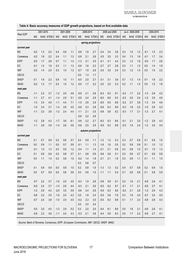**EVROSISTEM** 

|                           | 2001-2015 |     |           | 2001-2008 |     |           |        | 2009-2015 |                    |        | 2008 and 2009 |           | ex cl. 2008-2009 |            |           | 2004-2015 |     |           |
|---------------------------|-----------|-----|-----------|-----------|-----|-----------|--------|-----------|--------------------|--------|---------------|-----------|------------------|------------|-----------|-----------|-----|-----------|
| Real GDP                  | ME        |     | MAE STDEV | ME        |     | MAE STDEV | ME     |           | MAE STDEV          | ME     |               | MAE STDEV | ME               |            | MAE STDEV | ME        |     | MAE STDEV |
|                           |           |     |           |           |     |           |        |           |                    |        |               |           |                  |            |           |           |     |           |
|                           |           |     |           |           |     |           |        |           | spring projections |        |               |           |                  |            |           |           |     |           |
| current year<br><b>BS</b> | $-0.2$    | 1.3 | 2.0       | 0.4       | 0.9 | 1.1       | $-0.8$ | 1.8       | 2.7                |        | 3.4           | 3.8       | 0.3              |            | 1.2       | $-0.1$    | 1.5 |           |
|                           | $-0.2$    | 1.6 | 2.2       | 0.4       | 1.1 | 1.3       | $-0.8$ |           |                    | $-3.4$ | 3.5           | 3.3       | 0.4              | 1.0<br>1.3 | 1.6       | $-0.1$    | 1.7 | 2.3       |
| Consensus                 |           |     |           |           |     |           |        | 2.1       | 2.8                | $-3.5$ |               |           |                  |            |           |           |     | 2.4       |
| <b>EIPF</b>               | $-0.5$    | 1.7 | 2.6       | 0.7       | 1.1 | 1.3       | $-1.3$ | 2.1       | 3.0                | $-4.1$ | 4.1           | 4.4       | 0.3              | 1.2        | 1.6       | $-0.5$    | 1.7 | 2.6       |
| EC                        | $-0.1$    | 1.3 | 1.8       | 0.3       | 1.1 | 1.3       | $-0.6$ | 1.6       | 2.2                | $-2.7$ | 2.7           | 2.8       | 0.3              | 1.1        | 1.3       | 0.0       | 1.4 | 1.9       |
| <b>IMF</b>                | $-0.2$    | 1.4 | 2.0       | 0.3       | 1.0 | 1.3       | $-0.7$ | 1.9       | 2.6                | $-3.0$ | 3.0           | 3.4       | 0.3              | 1.2        | 1.4       | 0.0       | 1.5 | 2.2       |
| OECD                      |           |     |           |           |     |           | 0.0    | 1.3       | 1.7                |        |               |           |                  |            |           |           |     |           |
| <b>SKEP</b>               | 0.1       | 1.6 | 2.2       | 0.8       | 1.0 | 1.1       | $-0.5$ | 2.0       | 2.7                | $-3.1$ | 3.1           | 3.6       | 0.7              | 1.3        | 1.4       | 0.1       | 1.6 | 2.2       |
| <b>IMAD</b>               | $-0.2$    | 1.3 | 1.7       | 0.2       | 1.0 | 1.2       | $-0.5$ | 1.7       | 2.2                | $-2.5$ | 2.5           | 2.3       | 0.2              | 1.1        | 1.4       | 0.0       | 1.5 | 1.9       |
| next year                 |           |     |           |           |     |           |        |           |                    |        |               |           |                  |            |           |           |     |           |
| <b>BS</b>                 | $-1.1$    | 2.3 | 3.7       | $-1.2$    | 2.5 | 4.6       | $-0.9$ | 2.1       | 2.6                | $-6.3$ | 6.3           | 8.1       | $-0.2$           | 1.7        | 2.2       | $-1.3$    | 2.8 | 4.2       |
| Consensus                 | $-1.1$    | 2.7 | 4.1       | $-1.4$    | 2.9 | 5.1       | $-0.9$ | 2.4       | 2.9                | $-6.0$ | 6.6           | 9.3       | $-0.3$           | 2.0        | 2.4       | $-1.2$    | 3.0 | 4.5       |
| <b>EIPF</b>               | $-1.3$    | 3.4 | 4.9       | $-1.1$    | 4.4 | 7.1       | $-1.5$ | 2.6       | 2.9                | $-6.5$ | 6.5           | 8.6       | $-0.2$           | 2.7        | 3.6       | $-1.3$    | 3.4 | 4.9       |
| EC                        | $-1.0$    | 2.4 | 3.7       | $-1.4$    | 2.6 | 4.5       | $-0.6$ | 2.3       | 2.8                | $-5.6$ | 6.3           | 8.9       | $-0.3$           | 1.8        | 2.2       | $-1.0$    | 2.8 | 4.3       |
| <b>IMF</b>                | $-1.1$    | 2.3 | 3.6       | $-1.2$    | 2.4 | 4.4       | $-1.1$ | 2.1       | 2.5                | $-5.8$ | 5.8           | 8.2       | $-0.3$           | 1.7        | 2.1       | $-1.3$    | 2.7 | 4.1       |
| OECD                      |           |     |           |           |     |           | $-0.6$ | 2.2       | 2.8                |        |               |           |                  |            |           |           |     |           |
| <b>SKEP</b>               | $-1.2$    | 2.8 | 4.3       | $-1.7$    | 3.6 | 6.1       | $-0.8$ | 2.2       | 2.7                | $-6.3$ | 6.3           | 8.6       | $-0.1$           | 2.1        | 2.5       | $-1.2$    | 2.8 | 4.3       |
| <b>IMAD</b>               | $-1.1$    | 2.6 | 3.9       | $-1.4$    | 2.6 | 4.6       | $-0.8$ | 2.5       | 2.9                | $-5.9$ | 6.3           | 8.9       | $-0.3$           | 1.9        | 2.4       | $-1.2$    | 3.0 | 4.4       |
|                           |           |     |           |           |     |           |        |           | autumn projections |        |               |           |                  |            |           |           |     |           |
| current year              |           |     |           |           |     |           |        |           |                    |        |               |           |                  |            |           |           |     |           |
| <b>BS</b>                 | 0.1       | 0.7 | 0.9       | 0.2       | 0.6 | 0.7       | 0.0    | 0.9       | 1.1                | $-1.2$ | 1.2           | 0.3       | 0.3              | 0.7        | 0.8       | 0.1       | 0.9 | 1.0       |
| Consensus                 | 0.0       | 0.9 | 1.1       | 0.0       | 0.7 | 0.9       | $-0.1$ | 1.1       | 1.3                | $-1.6$ | 1.6           | 0.5       | 0.2              | 0.8        | 0.9       | 0.1       | 1.0 | 1.2       |
| <b>EIPF</b>               | $-0.1$    | 1.0 | 1.3       | 0.3       | 0.9 | 1.2       | $-0.4$ | 1.1       | 1.4                | $-2.1$ | 2.1           | 0.8       | 0.3              | 0.8        | 1.0       | $-0.1$    | 1.0 | 1.3       |
| EC                        | 0.1       | 0.6 | 0.8       | 0.2       | 0.6 | 0.7       | 0.1    | 0.6       | 0.9                | $-0.8$ | 0.8           | 0.1       | 0.3              | 0.6        | 0.7       | 0.1       | 0.6 | 0.8       |
| <b>IMF</b>                | 0.0       | 1.1 | 1.4       | 0.2       | 0.8 | 1.0       | $-0.2$ | 1.4       | 1.8                | $-2.1$ | 2.1           | 1.8       | 0.3              | 0.9        | 1.1       | 0.1       | 1.1 | 1.5       |
| OECD                      |           |     |           |           |     |           | 0.2    | 0.6       | 0.7                |        |               |           |                  |            |           |           |     |           |
| <b>SKEP</b>               | 0.1       | 0.8 | 0.9       | 0.0       | 0.8 | 1.0       | 0.2    | 0.9       | 1.0                | $-1.3$ | 1.3           | 0.2       | 0.4              | 0.7        | 0.8       | 0.2       | 0.8 | 1.0       |
| <b>IMAD</b>               | $0.0\,$   | 0.7 | 0.9       | 0.0       | 0.6 | 0.8       | 0.0    | $0.8\,$   | $1.0$              | $-1.1$ | 1.1           | 0.4       | 0.1              | 0.6        | 0.8       | 0.1       | 0.8 | 0.9       |
| next year                 |           |     |           |           |     |           |        |           |                    |        |               |           |                  |            |           |           |     |           |
| <b>BS</b>                 | $-0.7$    | 2.2 | 3.7       | $-1.0$    | 2.5 | 4.5       | $-0.3$ | 1.9       | 2.6                | $-5.9$ | 5.9           | 8.1       | 0.2              | 1.6        | 2.1       | $-0.9$    | 2.6 | 4.1       |
| <b>Consensus</b>          | $-0.9$    | 2.4 | 3.7       | $-1.3$    | 2.6 | 4.4       | $-0.3$ | 2.1       | 2.6                | $-5.5$ | 6.2           | 8.7       | $-0.1$           | 1.7        | 2.1       | $-0.9$    | 2.7 | 4.1       |
| <b>EIPF</b>               | $-1.2$    | 2.9 | 4.3       | $-2.0$    | 3.5 | 5.9       | $-0.6$ | 2.4       | 2.9                | $-5.9$ | 6.3           | 8.8       | $-0.2$           | 2.1        | 2.6       | $-1.2$    | 2.9 | 4.3       |
| EC                        | $-0.6$    | 2.2 | 3.5       | $-1.0$    | 2.4 | 4.3       | 0.0    | 1.8       | 2.4                | $-5.5$ | 5.6           | 7.8       | 0.3              | 1.6        | 2.0       | $-0.7$    | 2.5 | 4.0       |
| <b>IMF</b>                | $-0.7$    | 2.4 | 3.8       | $-1.0$    | 2.5 | 4.5       | $-0.2$ | 2.3       | 3.0                | $-5.5$ | 6.3           | 8.9       | 0.1              | 1.7        | 2.3       | $-0.8$    | 2.8 | 4.3       |
| OECD                      |           |     |           |           |     |           | 0.0    | 2.0       | 2.4                |        |               |           |                  |            |           |           |     |           |
| <b>SKEP</b>               | $-0.5$    | 2.5 | 4.0       | $-1.3$    | 2.9 | 5.2       | 0.3    | 2.0       | 2.5                | $-5.4$ | 6.1           | 8.6       | 0.5              | 1.8        | 2.1       | $-0.6$    | 2.6 | 4.1       |
| <b>IMAD</b>               | $-0.8$    | 2.3 | 3.6       | $-1.1$    | 2.4 | 4.3       | $-0.3$ | 2.1       | 2.8                | $-5.4$ | 5.9           | 8.3       | 0.0              | 1.7        | 2.2       | $-0.9$    | 2.7 | 4.1       |

#### **Table 4: Basic accuracy measures of GDP growth projections, based on first available data**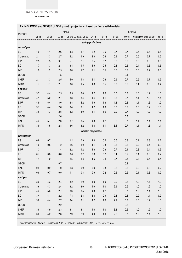**EVROSISTEM** 

#### **Table 5: RMSE and SRMSE of GDP growth projections, based on first available data**

|              | <b>RMSE</b> |         |         |         |                       |                    |           | <b>SRMSE</b> |         |         |                       |           |  |  |
|--------------|-------------|---------|---------|---------|-----------------------|--------------------|-----------|--------------|---------|---------|-----------------------|-----------|--|--|
| Real GDP     | $01 - 15$   | $01-08$ | 09-15   |         | 08 and 09 excl. 08-09 | $04-15$            | $01 - 15$ | $01-08$      | $09-15$ |         | 08 and 09 excl. 08-09 | $04 - 15$ |  |  |
|              |             |         |         |         |                       | spring projections |           |              |         |         |                       |           |  |  |
| current year |             |         |         |         |                       |                    |           |              |         |         |                       |           |  |  |
| <b>BS</b>    | 1.9         | 1.1     | 2.6     | 4.3     | 1.7                   | 2.2                | 0.5       | 0.7          | 0.7     | 0.5     | 0.6                   | 0.5       |  |  |
| Consensus    | 2.1         | 1.3     | 2.7     | 4.2     | 1.9                   | 2.3                | 0.6       | 0.9          | 0.7     | 0.5     | 0.7                   | $0.6\,$   |  |  |
| <b>EIPF</b>  | 2.5         | 1.3     | 3.1     | 5.1     | 2.1                   | 2.5                | 0.7       | 0.9          | 0.8     | 0.6     | 0.8                   | $0.6\,$   |  |  |
| EC           | 1.7         | 1.3     | 2.1     | 3.4     | 1.5                   | 1.9                | 0.5       | 0.8          | 0.6     | 0.4     | 0.6                   | 0.5       |  |  |
| <b>IMF</b>   | 1.9         | 1.2     | 2.5     | 3.8     | 1.7                   | 2.1                | 0.5       | $0.8\,$      | 0.7     | 0.5     | 0.7                   | $0.5\,$   |  |  |
| OECD         |             |         | 1.5     |         |                       |                    |           |              | 0.4     |         |                       |           |  |  |
| <b>SKEP</b>  | 2.1         | 1.3     | 2.5     | 4.0     | 1.8                   | 2.1                | 0.6       | 0.9          | 0.7     | 0.5     | 0.7                   | 0.5       |  |  |
| <b>IMAD</b>  | 1.7         | 1.1     | 2.1     | 3.0     | 1.5                   | 1.8                | 0.5       | $0.8\,$      | 0.6     | 0.4     | 0.6                   | 0.4       |  |  |
| next year    |             |         |         |         |                       |                    |           |              |         |         |                       |           |  |  |
| <b>BS</b>    | 3.7         | 4.4     | 2.5     | 8.5     | 3.0                   | 4.2                | 1.0       | 3.0          | 0.7     | 1.0     | 1.2                   | 1.0       |  |  |
| Consensus    | 4.1         | 5.0     | 2.7     | 8.8     | 3.4                   | 4.4                | 1.1       | 3.3          | 0.7     | 1.1     | 1.3                   | 1.1       |  |  |
| <b>EIPF</b>  | 4.9         | 6.4     | 3.0     | 8.8     | 4.2                   | 4.9                | 1.3       | 4.3          | 0.8     | 1.1     | 1.6                   | 1.2       |  |  |
| EC           | 3.7         | 4.4     | 2.6     | 8.4     | 3.1                   | 4.2                | 1.0       | 3.0          | 0.7     | 1.0     | 1.2                   | $1.0$     |  |  |
| <b>IMF</b>   | 3.6         | 4.3     | 2.5     | 8.2     | 3.0                   | 4.1                | 1.0       | 2.9          | 0.7     | 1.0     | 1.2                   | $1.0\,$   |  |  |
| OECD         |             |         | 2.6     |         |                       |                    |           |              | 0.7     |         |                       |           |  |  |
| <b>SKEP</b>  | 4.3         | 5.7     | 2.6     | 8.7     | 3.5                   | 4.3                | 1.2       | 3.8          | 0.7     | 1.1     | 1.4                   | 1.1       |  |  |
| <b>IMAD</b>  | 3.9         | 4.5     | 2.8     | 8.6     | 3.2                   | 4.3                | 1.1       | 3.1          | 0.7     | 1.1     | 1.3                   | 1.1       |  |  |
|              |             |         |         |         |                       | autumn projections |           |              |         |         |                       |           |  |  |
| current year |             |         |         |         |                       |                    |           |              |         |         |                       |           |  |  |
| <b>BS</b>    | 0.9         | 0.7     | 1.1     | 1.2     | 0.9                   | $1.0$              | 0.2       | 0.5          | 0.3     | 0.1     | 0.3                   | 0.2       |  |  |
| Consensus    | 1.0         | 0.8     | 1.2     | 1.6     | 1.0                   | 1.1                | 0.3       | 0.6          | 0.3     | 0.2     | 0.4                   | 0.3       |  |  |
| <b>EIPF</b>  | 1.3         | 1.1     | 1.4     | 2.2     | 1.2                   | 1.3                | 0.3       | 0.7          | 0.4     | 0.3     | 0.4                   | 0.3       |  |  |
| EC           | 0.7         | 0.6     | 0.8     | 0.8     | 0.7                   | 0.8                | 0.2       | 0.4          | 0.2     | 0.1     | 0.3                   | 0.2       |  |  |
| <b>IMF</b>   | 1.4         | 1.0     | 1.7     | 2.5     | 1.3                   | 1.5                | 0.4       | 0.7          | 0.5     | 0.3     | 0.5                   | 0.4       |  |  |
| OECD         |             |         | 0.7     |         |                       |                    |           |              | 0.2     |         |                       |           |  |  |
| <b>SKEP</b>  | 0.9         | $0.9\,$ | $1.0$   | 1.3     | $0.9\,$               | 0.9                | 0.3       | $0.6\,$      | 0.3     | $0.2\,$ | $0.3\,$               | $0.2\,$   |  |  |
| <b>IMAD</b>  | 0.8         | $0.7\,$ | $0.9\,$ | $1.1$   | $0.8\,$               | $0.9\,$            | 0.2       | $0.5\,$      | 0.2     | 0.1     | 0.3                   | $0.2\,$   |  |  |
| next year    |             |         |         |         |                       |                    |           |              |         |         |                       |           |  |  |
| <b>BS</b>    | 3.6         | 4.3     | 2.4     | 8.2     | 2.9                   | $4.0\,$            | $1.0\,$   | 2.9          | $0.6\,$ | $1.0\,$ | 1.1                   | $1.0$     |  |  |
| Consensus    | 3.6         | $4.3\,$ | $2.4\,$ | 8.2     | $3.0\,$               | $4.0$              | $1.0\,$   | 2.9          | $0.6\,$ | $1.0\,$ | 1.2                   | $1.0\,$   |  |  |
| <b>EIPF</b>  | 4.3         | $5.6\,$ | 2.7     | $8.6\,$ | 3.5                   | 4.3                | 1.2       | 3.8          | 0.7     | $1.0\,$ | 1.4                   | $1.0\,$   |  |  |
| EC           | 3.4         | 4.1     | 2.2     | 7.8     | 2.8                   | 3.8                | $0.9\,$   | 2.8          | $0.6\,$ | 0.9     | 1.1                   | $0.9\,$   |  |  |
| IMF          | 3.8         | 4.4     | 2.7     | 8.4     | 3.1                   | 4.2                | $1.0\,$   | $2.9\,$      | 0.7     | $1.0\,$ | 1.2                   | $1.0\,$   |  |  |
| OECD         |             |         | 2.2     |         |                       |                    |           |              | 0.6     |         |                       |           |  |  |
| <b>SKEP</b>  | 3.8         | 4.9     | 2.3     | 8.1     | 3.1                   | $4.0$              | $1.0\,$   | 3.3          | $0.6\,$ | $1.0\,$ | 1.2                   | $1.0\,$   |  |  |
| <b>IMAD</b>  | 3.6         | $4.2\,$ | 2.6     | 7.9     | 2.9                   | $4.0\,$            | $1.0\,$   | 2.8          | 0.7     | $1.0\,$ | 1.1                   | $1.0\,$   |  |  |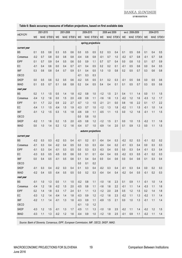**EVROSISTEM** 

|                 | 2001-2015 |     | 2001-2008 |        |     |           | 2009-2015 |       |                    | 2008 and 2009 |     |           | excl. 2008-2009 |     | 2004-2015 |        |     |           |
|-----------------|-----------|-----|-----------|--------|-----|-----------|-----------|-------|--------------------|---------------|-----|-----------|-----------------|-----|-----------|--------|-----|-----------|
| <b>HICP/CPI</b> | ME        |     | MAE STDEV | ME     |     | MAE STDEV | ME        |       | MAE STDEV          | ME            |     | MAE STDEV | ME              |     | MAE STDEV | ME     |     | MAE STDEV |
|                 |           |     |           |        |     |           |           |       | spring projections |               |     |           |                 |     |           |        |     |           |
| current year    |           |     |           |        |     |           |           |       |                    |               |     |           |                 |     |           |        |     |           |
| <b>BS</b>       | 0.1       | 0.5 | 0.6       | 0.3    | 0.5 | 0.6       | 0.0       | 0.5   | 0.5                | 0.2           | 0.3 | 0.4       | 0.1             | 0.5 | 0.6       | 0.1    | 0.4 | 0.5       |
| Consensus       | $-0.2$    | 0.7 | 0.8       | 0.0    | 0.6 | 0.8       | $-0.4$    | 0.8   | 0.8                | $-0.1$        | 0.7 | 1.0       | $-0.2$          | 0.7 | 0.8       | $-0.1$ | 0.7 | 0.8       |
| <b>EIPF</b>     | 0.1       | 0.7 | 0.9       | 0.4    | 0.5 | 0.6       | 0.0       | 0.9   | 1.1                | 0.7           | 0.7 | 0.4       | 0.0             | 0.8 | 1.0       | 0.1    | 0.7 | 0.9       |
| EC              | $-0.1$    | 0.4 | 0.6       | 0.0    | 0.4 | 0.7       | $-0.1$    | 0.4   | 0.5                | 0.2           | 0.2 | 0.1       | $-0.1$          | 0.5 | 0.6       | 0.0    | 0.4 | 0.5       |
| <b>IMF</b>      | 0.3       | 0.6 | 0.8       | 0.4    | 0.7 | 0.9       | 0.1       | 0.4   | 0.5                | 1.0           | 1.0 | 0.8       | 0.2             | 0.5 | 0.7       | 0.3    | 0.6 | 0.8       |
| OECD            |           |     |           |        |     |           | $-0.1$    | 0.3   | 0.3                |               |     |           |                 |     |           |        |     |           |
| <b>SKEP</b>     | 0.0       | 0.5 | 0.6       | 0.2    | 0.5 | 0.6       | $-0.2$    | 0.5   | 0.5                | 0.1           | 0.2 | 0.3       | $-0.1$          | 0.5 | 0.6       | 0.0    | 0.5 | 0.6       |
| <b>IMAD</b>     | 0.1       | 0.5 | 0.7       | 0.1    | 0.6 | 0.8       | 0.2       | 0.4   | 0.5                | 0.4           | 0.4 | 0.1       | 0.1             | 0.5 | 0.7       | 0.3    | 0.5 | 0.6       |
| next year       |           |     |           |        |     |           |           |       |                    |               |     |           |                 |     |           |        |     |           |
| <b>BS</b>       | 0.2       | 1.1 | 1.5       | 0.5    | 1.4 | 1.8       | $-0.2$    | 0.8   | 1.0                | $-1.2$        | 1.5 | 2.1       | 0.4             | 1.1 | 1.4       | 0.0    | 1.1 | 1.5       |
| Consensus       | $-0.4$    | 1.2 | 1.6       | 0.0    | 1.5 | 2.0       | $-0.8$    | 0.9   | 1.1                | $-1.6$        | 1.6 | 1.3       | $-0.2$          | 1.2 | 1.6       | $-0.3$ | 1.2 | 1.7       |
| <b>EIPF</b>     | 0.1       | 1.7 | 2.2       | 0.9    | 2.2 | 2.7       | $-0.7$    | 1.3   | 1.5                | $-2.1$        | 2.1 | 0.0       | 0.6             | 1.6 | 2.2       | 0.1    | 1.7 | 2.2       |
| EC              | $-0.4$    | 1.1 | 1.5       | $-0.4$ | 1.5 | 1.9       | $-0.3$    | 0.7   | 1.0                | $-1.2$        | 1.3 | 1.8       | $-0.2$          | 1.1 | 1.5       | $-0.1$ | 1.0 | 1.4       |
| <b>IMF</b>      | $-0.1$    | 1.2 | 1.5       | 0.3    | 1.5 | 1.8       | $-0.6$    | 0.9   | 1.1                | $-0.5$        | 1.1 | 1.5       | 0.0             | 1.2 | 1.6       | $-0.1$ | 1.1 | 1.5       |
| OECD            |           |     |           |        |     |           | 0.0       | 0.8   | 1.0                |               |     |           |                 |     |           |        |     |           |
| <b>SKEP</b>     | $-0.2$    | 1.1 | 1.6       | 0.2    | 1.5 | 2.0       | $-0.5$    | 0.8   | 1.2                | $-1.2$        | 1.5 | 2.1       | 0.0             | 1.0 | 1.5       | $-0.2$ | 1.1 | 1.6       |
| <b>IMAD</b>     | 0.0       | 1.0 | 1.4       | 0.2    | 1.2 | 1.6       | $-0.4$    | 0.7   | 1.0                | $-0.9$        | 1.4 | 2.0       | 0.1             | 0.9 | 1.3       | 0.0    | 1.1 | 1.5       |
|                 |           |     |           |        |     |           |           |       | autumn projections |               |     |           |                 |     |           |        |     |           |
| current year    |           |     |           |        |     |           |           |       |                    |               |     |           |                 |     |           |        |     |           |
| <b>BS</b>       | $-0.2$    | 0.3 | 0.3       | $-0.2$ | 0.3 | 0.4       | $-0.1$    | 0.2   | 0.1                | $-0.4$        | 0.4 | 0.3       | $-0.2$          | 0.2 | 0.3       | $-0.1$ | 0.2 | 0.2       |
| Consensus       | $-0.1$    | 0.3 | 0.4       | $-0.2$ | 0.4 | 0.5       | 0.0       | 0.3   | 0.3                | $-0.4$        | 0.4 | 0.2       | $-0.1$          | 0.3 | 0.4       | 0.0    | 0.3 | 0.3       |
| <b>EIPF</b>     | $-0.1$    | 0.3 | 0.4       | $-0.1$ | 0.3 | 0.5       | 0.0       | 0.3   | 0.3                | $-0.3$        | 0.4 | 0.5       | 0.0             | 0.3 | 0.4       | $-0.1$ | 0.3 | 0.4       |
| EC              | $-0.3$    | 0.3 | 0.5       | $-0.5$ | 0.5 | 0.6       | 0.0       | 0.1   | 0.1                | $-0.4$        | 0.4 | 0.5       | $-0.2$          | 0.3 | 0.5       | $-0.1$ | 0.2 | 0.3       |
| <b>IMF</b>      | 0.0       | 0.4 | 0.5       | $-0.1$ | 0.5 | 0.6       | 0.1       | 0.4   | 0.4                | 0.0           | 0.4 | 0.6       | 0.0             | 0.4 | 0.6       | 0.1    | 0.3 | 0.4       |
| OECD            |           |     |           |        |     |           | 0.0       | 0.1   | 0.2                |               |     |           |                 |     |           |        |     |           |
| <b>SKEP</b>     | $-0.1$    | 0.3 | 0.4       | $-0.2$ | 0.3 | 0.4       | 0.1       | 0.3   | 0.4                | $-0.2$        | 0.3 | 0.4       | $-0.1$          | 0.3 | 0.4       | 0.0    | 0.2 | 0.3       |
| <b>IMAD</b>     | $-0.2$    | 0.4 | 0.5       | $-0.4$ | 0.5 | 0.5       | 0.0       | 0.2   | 0.3                | $-0.4$        | 0.4 | 0.4       | $-0.2$          | 0.4 | 0.5       | $-0.1$ | 0.2 | 0.3       |
| next year       |           |     |           |        |     |           |           |       |                    |               |     |           |                 |     |           |        |     |           |
| BS              | $-0.1$    | 1.0 | 1.3       | 0.0    | 1.1 | 1.5       | $-0.2$    | 0.8   | 1.1                | $-1.0$        | 1.6 | 2.3       | 0.1             | 0.9 | 1.1       | $-0.1$ | 1.0 | 1.4       |
| Consensus       | $-0.4$    | 1.2 | 1.6       | $-0.2$ | 1.5 | 2.0       | $-0.5$    | 0.8   | 1.1                | $-1.6$        | 1.6 | 2.2       | $-0.1$          | 1.1 | 1.4       | $-0.3$ | 1.1 | 1.6       |
| <b>EIPF</b>     | 0.2       | 1.4 | 1.8       | 0.3    | 1.7 | 2.4       | 0.1       | 1.1   | 1.3                | $-1.2$        | 2.0 | 2.8       | 0.5             | 1.2 | 1.5       | 0.2    | 1.4 | 1.8       |
| ${\sf EC}$      | $-0.3$    | 1.2 | 1.4       | $-0.4$ | 1.4 | 1.8       | $-0.3$    | 0.9   | 1.2                | $-1.2$        | 1.6 | 2.3       | $-0.2$          | 1.1 | 1.3       | $-0.2$ | 1.1 | 1.4       |
| IMF             | $-0.2$    | 1.1 | 1.4       | $-0.1$ | 1.3 | 1.6       | $-0.3$    | 0.9   | 1.1                | $-0.9$        | 1.5 | 2.1       | 0.0             | 1.0 | 1.3       | $-0.1$ | 1.1 | 1.4       |
| OECD            |           |     |           |        |     |           | $-0.1$    | $1.0$ | 1.2                |               |     |           |                 |     |           |        |     |           |
| SKEP            | $-0.3$    | 1.2 | 1.5       | $-0.1$ | 1.3 | 1.7       | $-0.5$    | 1.1   | 1.3                | $-1.0$        | 1.8 | 2.5       | $-0.2$          | 1.1 | 1.4       | $-0.2$ | 1.2 | 1.5       |
| <b>IMAD</b>     | $-0.3$    | 1.1 | 1.3       | $-0.2$ | 1.2 | 1.6       | $-0.4$    | 0.9   | 1.0                | $-1.2$        | 1.8 | 2.5       | $-0.1$          | 0.9 | 1.1       | $-0.2$ | 1.1 | 1.4       |

#### **Table 6: Basic accuracy measures of inflation projections, based on first available data**